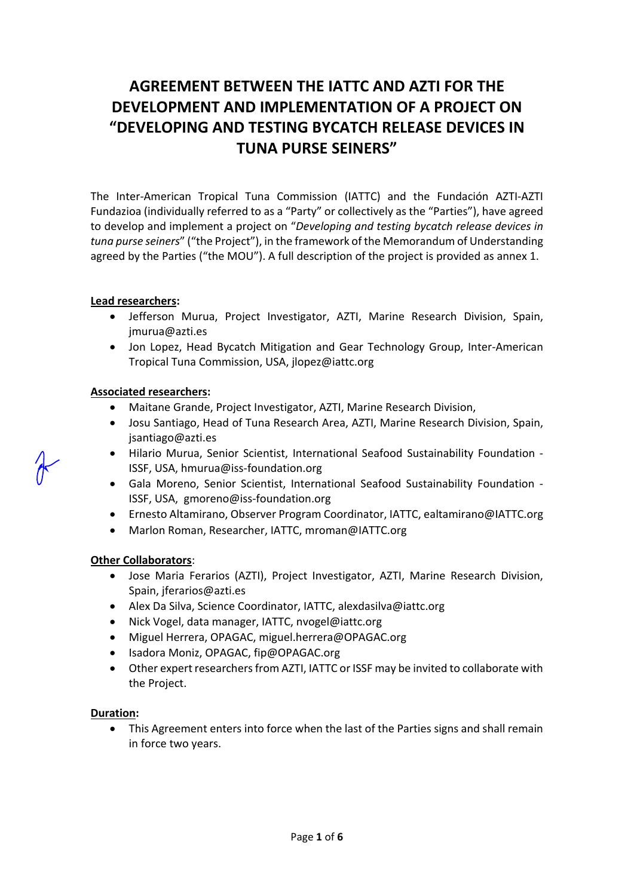# **AGREEMENT BETWEEN THE IATTC AND AZTI FOR THE DEVELOPMENT AND IMPLEMENTATION OF A PROJECT ON "DEVELOPING AND TESTING BYCATCH RELEASE DEVICES IN TUNA PURSE SEINERS"**

The Inter-American Tropical Tuna Commission (IATTC) and the Fundación AZTI-AZTI Fundazioa (individually referred to as a "Party" or collectively as the "Parties"), have agreed to develop and implement a project on "*Developing and testing bycatch release devices in tuna purse seiners*" ("the Project"), in the framework of the Memorandum of Understanding agreed by the Parties ("the MOU"). A full description of the project is provided as annex 1.

#### **Lead researchers:**

- Jefferson Murua, Project Investigator, AZTI, Marine Research Division, Spain, jmurua@azti.es
- Jon Lopez, Head Bycatch Mitigation and Gear Technology Group, Inter-American Tropical Tuna Commission, USA, jlopez@iattc.org

### **Associated researchers:**

- Maitane Grande, Project Investigator, AZTI, Marine Research Division,
- Josu Santiago, Head of Tuna Research Area, AZTI, Marine Research Division, Spain, jsantiago@azti.es
- Hilario Murua, Senior Scientist, International Seafood Sustainability Foundation ISSF, USA, hmurua@iss-foundation.org
- Gala Moreno, Senior Scientist, International Seafood Sustainability Foundation ISSF, USA, [gmoreno@iss-foundation.org](mailto:%20gmoreno@iss-foundation.org)
- Ernesto Altamirano, Observer Program Coordinator, IATTC, ealtamirano@IATTC.org
- Marlon Roman, Researcher, IATTC, mroman@IATTC.org

#### **Other Collaborators**:

- Jose Maria Ferarios (AZTI), Project Investigator, AZTI, Marine Research Division, Spain, jferarios@azti.es
- Alex Da Silva, Science Coordinator, IATTC, alexdasilva@iattc.org
- Nick Vogel, data manager, IATTC, nvogel@iattc.org
- Miguel Herrera, OPAGAC, [miguel.herrera@OPAGAC.org](mailto:miguel.herrera@OPAGAC.org)
- Isadora Moniz, OPAGAC, fip@OPAGAC.org
- Other expert researchers from AZTI, IATTC or ISSF may be invited to collaborate with the Project.

#### **Duration:**

• This Agreement enters into force when the last of the Parties signs and shall remain in force two years.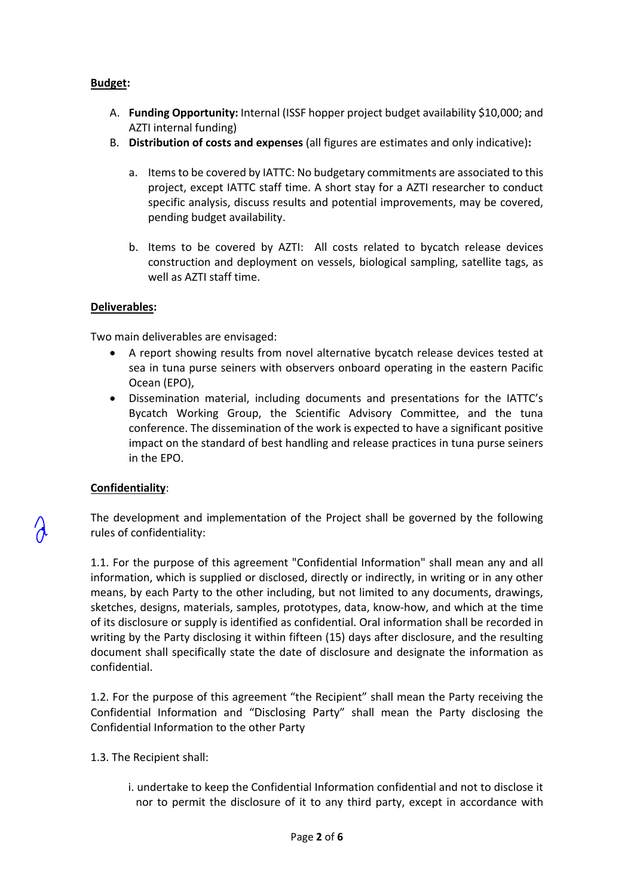### **Budget:**

- A. **Funding Opportunity:** Internal (ISSF hopper project budget availability \$10,000; and AZTI internal funding)
- B. **Distribution of costs and expenses** (all figures are estimates and only indicative)**:** 
	- a. Items to be covered by IATTC: No budgetary commitments are associated to this project, except IATTC staff time. A short stay for a AZTI researcher to conduct specific analysis, discuss results and potential improvements, may be covered, pending budget availability.
	- b. Items to be covered by AZTI: All costs related to bycatch release devices construction and deployment on vessels, biological sampling, satellite tags, as well as AZTI staff time.

#### **Deliverables:**

Two main deliverables are envisaged:

- A report showing results from novel alternative bycatch release devices tested at sea in tuna purse seiners with observers onboard operating in the eastern Pacific Ocean (EPO),
- Dissemination material, including documents and presentations for the IATTC's Bycatch Working Group, the Scientific Advisory Committee, and the tuna conference. The dissemination of the work is expected to have a significant positive impact on the standard of best handling and release practices in tuna purse seiners in the EPO.

## **Confidentiality**:

The development and implementation of the Project shall be governed by the following rules of confidentiality:

1.1. For the purpose of this agreement "Confidential Information" shall mean any and all information, which is supplied or disclosed, directly or indirectly, in writing or in any other means, by each Party to the other including, but not limited to any documents, drawings, sketches, designs, materials, samples, prototypes, data, know-how, and which at the time of its disclosure or supply is identified as confidential. Oral information shall be recorded in writing by the Party disclosing it within fifteen (15) days after disclosure, and the resulting document shall specifically state the date of disclosure and designate the information as confidential.

1.2. For the purpose of this agreement "the Recipient" shall mean the Party receiving the Confidential Information and "Disclosing Party" shall mean the Party disclosing the Confidential Information to the other Party

- 1.3. The Recipient shall:
	- i. undertake to keep the Confidential Information confidential and not to disclose it nor to permit the disclosure of it to any third party, except in accordance with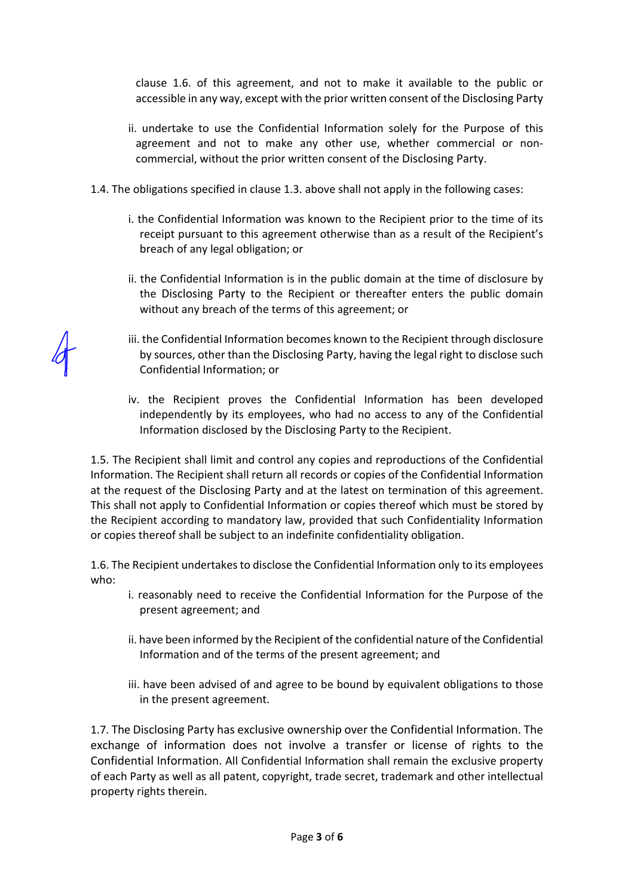clause 1.6. of this agreement, and not to make it available to the public or accessible in any way, except with the prior written consent of the Disclosing Party

- ii. undertake to use the Confidential Information solely for the Purpose of this agreement and not to make any other use, whether commercial or noncommercial, without the prior written consent of the Disclosing Party.
- 1.4. The obligations specified in clause 1.3. above shall not apply in the following cases:
	- i. the Confidential Information was known to the Recipient prior to the time of its receipt pursuant to this agreement otherwise than as a result of the Recipient's breach of any legal obligation; or
	- ii. the Confidential Information is in the public domain at the time of disclosure by the Disclosing Party to the Recipient or thereafter enters the public domain without any breach of the terms of this agreement; or
	- iii. the Confidential Information becomes known to the Recipient through disclosure by sources, other than the Disclosing Party, having the legal right to disclose such Confidential Information; or
	- iv. the Recipient proves the Confidential Information has been developed independently by its employees, who had no access to any of the Confidential Information disclosed by the Disclosing Party to the Recipient.

1.5. The Recipient shall limit and control any copies and reproductions of the Confidential Information. The Recipient shall return all records or copies of the Confidential Information at the request of the Disclosing Party and at the latest on termination of this agreement. This shall not apply to Confidential Information or copies thereof which must be stored by the Recipient according to mandatory law, provided that such Confidentiality Information or copies thereof shall be subject to an indefinite confidentiality obligation.

1.6. The Recipient undertakes to disclose the Confidential Information only to its employees who:

- i. reasonably need to receive the Confidential Information for the Purpose of the present agreement; and
- ii. have been informed by the Recipient of the confidential nature of the Confidential Information and of the terms of the present agreement; and
- iii. have been advised of and agree to be bound by equivalent obligations to those in the present agreement.

1.7. The Disclosing Party has exclusive ownership over the Confidential Information. The exchange of information does not involve a transfer or license of rights to the Confidential Information. All Confidential Information shall remain the exclusive property of each Party as well as all patent, copyright, trade secret, trademark and other intellectual property rights therein.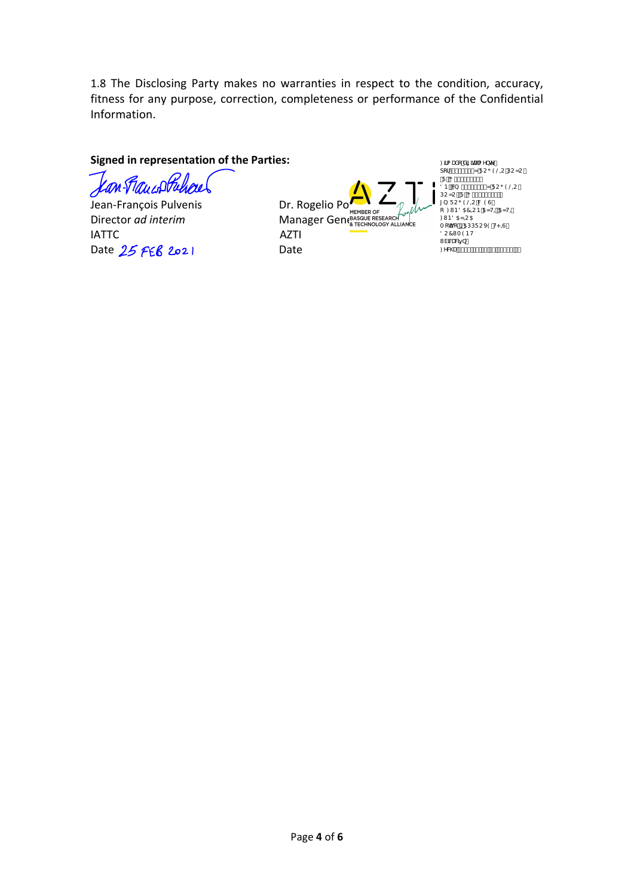1.8 The Disclosing Party makes no warranties in respect to the condition, accuracy, fitness for any purpose, correction, completeness or performance of the Confidential Information.

#### **Signed in representation of the Parties:**

an Faucof Pulsael í

Jean-François Pulvenis **Dr. Rogelio Pozo** IATTC AZTI Date 25 FEB 2021 Date

Director *ad interim*<br>Director *ad interim* Manager General Manager Manager Server Manager Server Manager Server Manager Server Manager Server Manager Server Manager Server Manager Server Manager Server Manager Server Mana

Ø3a{anå[Aäã\*anaak|^}c^A<br>][¦FÍJI€ÌÏZAÜUÕÒŠOUAÚUZU QÜKAÖIİJHJİ€ID<br>ÖÞKAS, MFÍJI€ÌÏZÁÜUŐÒŠQU,<br>ÚUZUÁQÜKAŐIÌJHJÍ€ÌDÁ<br>\*) MÜUŐÒŠQUÁRANÒÙÁ<br>[MØMÞÖŒÔQUÞÁNEZVQÁ Ø NÞÖ OEZOU OE<br>T[œ̃]KKÓ A XEÚÚ Ŭ U XÒ Á VPOÙ M<br>Ö U Ô WTÒ Þ V wa.<br>Waa<del>3</del>ea&a5}K O & @aKGECFEEHEEFAEJKECÉEFKEE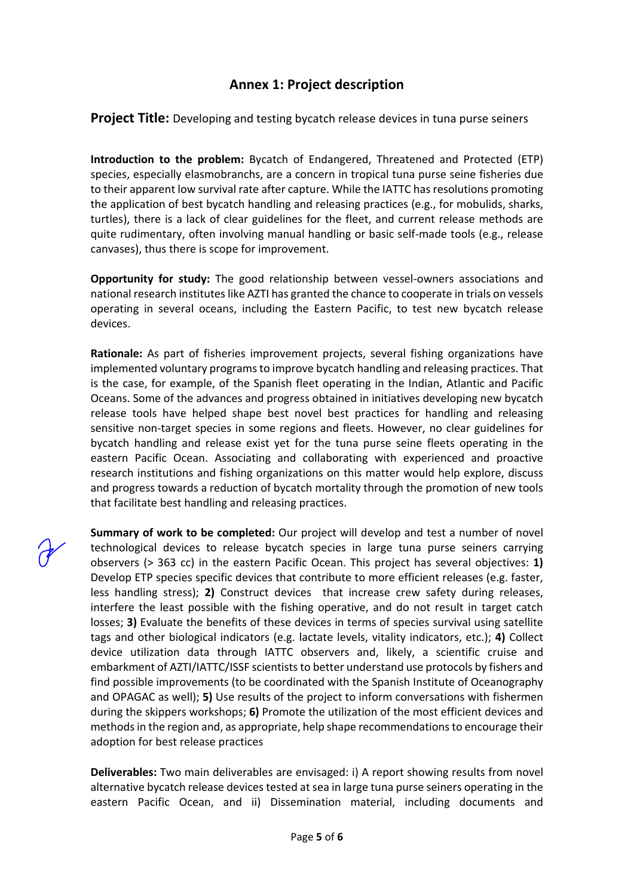# **Annex 1: Project description**

**Project Title:** Developing and testing bycatch release devices in tuna purse seiners

**Introduction to the problem:** Bycatch of Endangered, Threatened and Protected (ETP) species, especially elasmobranchs, are a concern in tropical tuna purse seine fisheries due to their apparent low survival rate after capture. While the IATTC has resolutions promoting the application of best bycatch handling and releasing practices (e.g., for mobulids, sharks, turtles), there is a lack of clear guidelines for the fleet, and current release methods are quite rudimentary, often involving manual handling or basic self-made tools (e.g., release canvases), thus there is scope for improvement.

**Opportunity for study:** The good relationship between vessel-owners associations and national research institutes like AZTI has granted the chance to cooperate in trials on vessels operating in several oceans, including the Eastern Pacific, to test new bycatch release devices.

**Rationale:** As part of fisheries improvement projects, several fishing organizations have implemented voluntary programs to improve bycatch handling and releasing practices. That is the case, for example, of the Spanish fleet operating in the Indian, Atlantic and Pacific Oceans. Some of the advances and progress obtained in initiatives developing new bycatch release tools have helped shape best novel best practices for handling and releasing sensitive non-target species in some regions and fleets. However, no clear guidelines for bycatch handling and release exist yet for the tuna purse seine fleets operating in the eastern Pacific Ocean. Associating and collaborating with experienced and proactive research institutions and fishing organizations on this matter would help explore, discuss and progress towards a reduction of bycatch mortality through the promotion of new tools that facilitate best handling and releasing practices.

**Summary of work to be completed:** Our project will develop and test a number of novel technological devices to release bycatch species in large tuna purse seiners carrying observers (> 363 cc) in the eastern Pacific Ocean. This project has several objectives: **1)**  Develop ETP species specific devices that contribute to more efficient releases (e.g. faster, less handling stress); **2)** Construct devices that increase crew safety during releases, interfere the least possible with the fishing operative, and do not result in target catch losses; **3)** Evaluate the benefits of these devices in terms of species survival using satellite tags and other biological indicators (e.g. lactate levels, vitality indicators, etc.); **4)** Collect device utilization data through IATTC observers and, likely, a scientific cruise and embarkment of AZTI/IATTC/ISSF scientists to better understand use protocols by fishers and find possible improvements (to be coordinated with the Spanish Institute of Oceanography and OPAGAC as well); **5)** Use results of the project to inform conversations with fishermen during the skippers workshops; **6)** Promote the utilization of the most efficient devices and methodsin the region and, as appropriate, help shape recommendations to encourage their adoption for best release practices

**Deliverables:** Two main deliverables are envisaged: i) A report showing results from novel alternative bycatch release devices tested at sea in large tuna purse seiners operating in the eastern Pacific Ocean, and ii) Dissemination material, including documents and